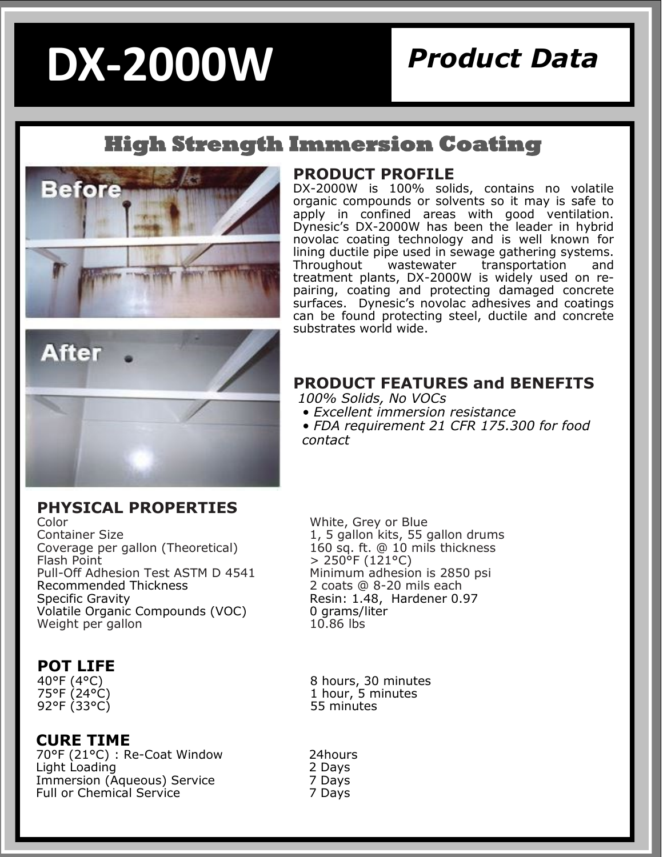# **DX-2000W**

### *Product Data*

### **High Strength Immersion Coating**





DX-2000W is 100% solids, contains no volatile organic compounds or solvents so it may is safe to apply in confined areas with good ventilation. Dynesic's DX-2000W has been the leader in hybrid novolac coating technology and is well known for lining ductile pipe used in sewage gathering systems. Throughout wastewater transportation and treatment plants, DX-2000W is widely used on repairing, coating and protecting damaged concrete surfaces. Dynesic's novolac adhesives and coatings can be found protecting steel, ductile and concrete substrates world wide.



#### **PHYSICAL PROPERTIES**

Color White, Grey or Blue Coverage per gallon (Theoretical) Flash Point  $\frac{1}{250}$  > 250°F (121°C)<br>Pull-Off Adhesion Test ASTM D 4541 Minimum adhesion is 2850 psi Pull-Off Adhesion Test ASTM D 4541 Recommended Thickness 2 coats @ 8-20 mils each Specific Gravity Specific Gravity Resin: 1.48, Hardener 0.97 Volatile Organic Compounds (VOC)  $\qquad \qquad$  0 grams/liter Weight per gallon Weight per gallon

#### **POT LIFE**

75°F (24°C)<br>92°F (33°C)

#### **CURE TIME**

70°F (21°C) : Re-Coat Window 24hours Light Loading 2 Days Immersion (Aqueous) Service 7 Days<br>
Full or Chemical Service 7 Days Full or Chemical Service

#### **PRODUCT FEATURES and BENEFITS**

*100% Solids, No VOCs*

- *Excellent immersion resistance*
- *FDA requirement 21 CFR 175.300 for food contact*

1, 5 gallon kits, 55 gallon drums<br>160 sq. ft.  $@$  10 mils thickness

40°F (4°C) 8 hours, 30 minutes 1 hour,  $\overline{5}$  minutes<br>55 minutes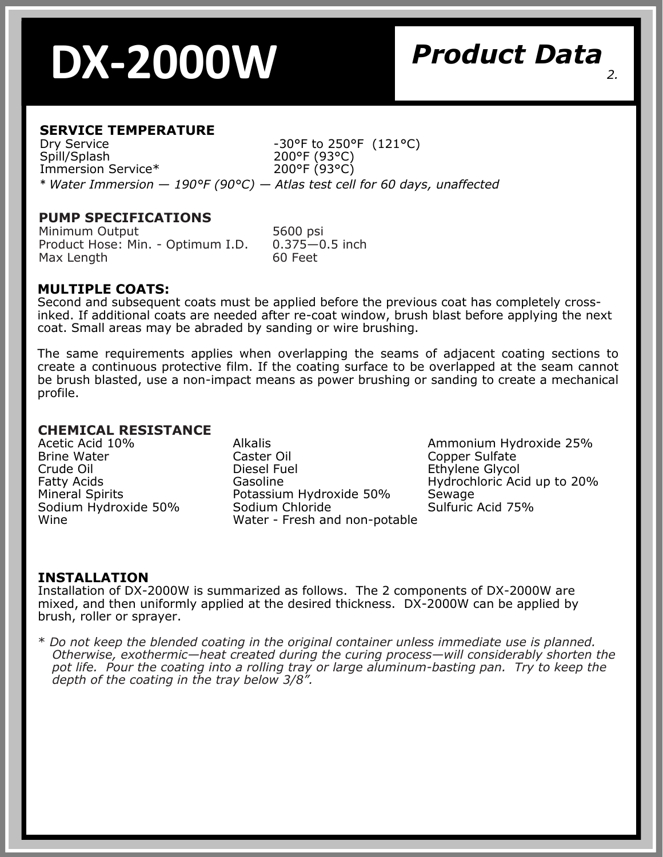## **DX-2000W** *2.*

### *Product Data*

#### **SERVICE TEMPERATURE**

Dry Service  $-30^{\circ}$ F to 250°F (121°C) Spill/Splash 200°F (93°C)<br>Immersion Service\* 200°F (93°C) Immersion Service\* \* *Water Immersion — 190°F (90°C) — Atlas test cell for 60 days, unaffected*

#### **PUMP SPECIFICATIONS**

Minimum Output 5600 psi Product Hose: Min. - Optimum I.D. 0.375—0.5 inch Max Length 60 Feet

#### **MULTIPLE COATS:**

Second and subsequent coats must be applied before the previous coat has completely crossinked. If additional coats are needed after re-coat window, brush blast before applying the next coat. Small areas may be abraded by sanding or wire brushing.

The same requirements applies when overlapping the seams of adjacent coating sections to create a continuous protective film. If the coating surface to be overlapped at the seam cannot be brush blasted, use a non-impact means as power brushing or sanding to create a mechanical profile.

#### **CHEMICAL RESISTANCE**

Sodium Hydroxide 50%

Acetic Acid 10% **Alkalis** Alkalis Ammonium Hydroxide 25% Ammonium Hydroxide 25% Ammonium Hydroxide 25% Crude Oil Diesel Fuel Ethylene Glycol Fatty Acids Gasoline Hydrochloric Acid up to 20% <br>Mineral Spirits Potassium Hydroxide 50% Sewage Potassium Hydroxide 50% Sewage<br>
Sodium Chloride Solfuric Acid 75% Wine Water - Fresh and non-potable

Copper Sulfate

#### **INSTALLATION**

Installation of DX-2000W is summarized as follows. The 2 components of DX-2000W are mixed, and then uniformly applied at the desired thickness. DX-2000W can be applied by brush, roller or sprayer.

\* *Do not keep the blended coating in the original container unless immediate use is planned. Otherwise, exothermic—heat created during the curing process—will considerably shorten the pot life. Pour the coating into a rolling tray or large aluminum-basting pan. Try to keep the depth of the coating in the tray below 3/8".*